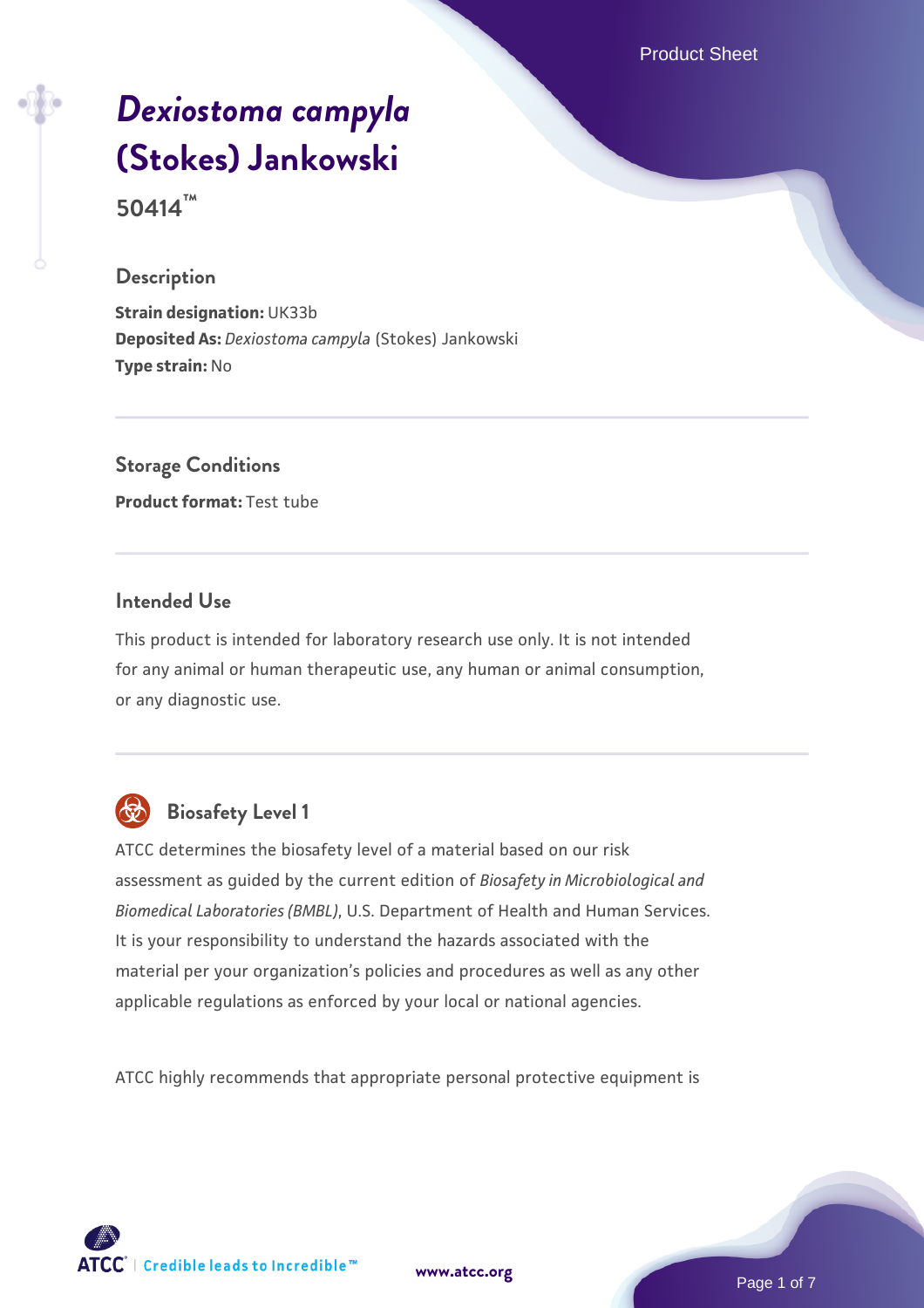Product Sheet

# *[Dexiostoma campyla](https://www.atcc.org/products/50414)* **[\(Stokes\) Jankowski](https://www.atcc.org/products/50414)**

**50414™**

#### **Description**

**Strain designation:** UK33b **Deposited As:** *Dexiostoma campyla* (Stokes) Jankowski **Type strain:** No

**Storage Conditions Product format:** Test tube

#### **Intended Use**

This product is intended for laboratory research use only. It is not intended for any animal or human therapeutic use, any human or animal consumption, or any diagnostic use.



# **Biosafety Level 1**

ATCC determines the biosafety level of a material based on our risk assessment as guided by the current edition of *Biosafety in Microbiological and Biomedical Laboratories (BMBL)*, U.S. Department of Health and Human Services. It is your responsibility to understand the hazards associated with the material per your organization's policies and procedures as well as any other applicable regulations as enforced by your local or national agencies.

ATCC highly recommends that appropriate personal protective equipment is

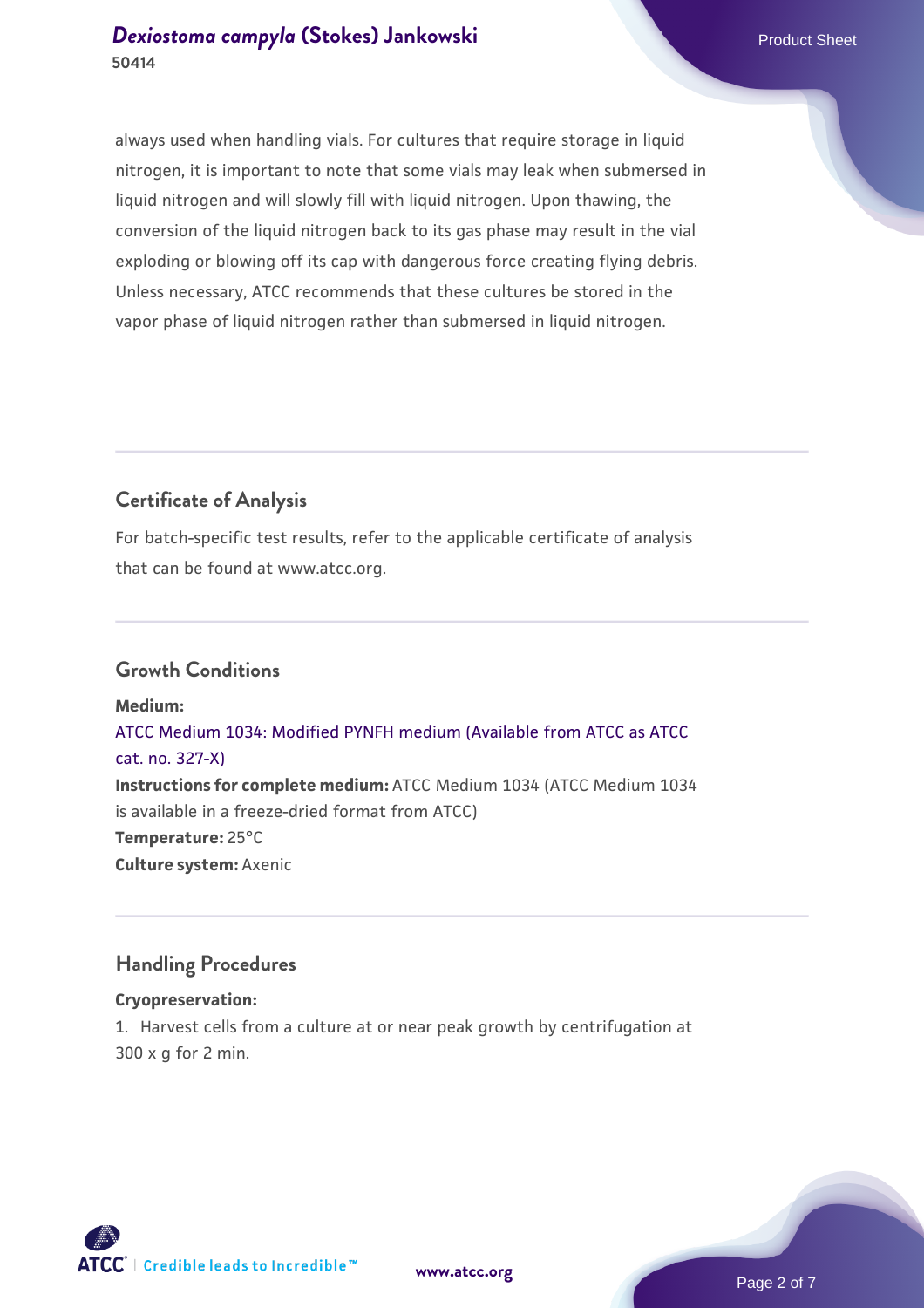always used when handling vials. For cultures that require storage in liquid nitrogen, it is important to note that some vials may leak when submersed in liquid nitrogen and will slowly fill with liquid nitrogen. Upon thawing, the conversion of the liquid nitrogen back to its gas phase may result in the vial exploding or blowing off its cap with dangerous force creating flying debris. Unless necessary, ATCC recommends that these cultures be stored in the vapor phase of liquid nitrogen rather than submersed in liquid nitrogen.

# **Certificate of Analysis**

For batch-specific test results, refer to the applicable certificate of analysis that can be found at www.atcc.org.

#### **Growth Conditions**

**Medium:**  [ATCC Medium 1034: Modified PYNFH medium \(Available from ATCC as ATCC](https://www.atcc.org/-/media/product-assets/documents/microbial-media-formulations/1/0/3/4/atcc-medium-1034.pdf?rev=60deeb2f005a49bfbb27bb7fcaa28848) [cat. no. 327-X\)](https://www.atcc.org/-/media/product-assets/documents/microbial-media-formulations/1/0/3/4/atcc-medium-1034.pdf?rev=60deeb2f005a49bfbb27bb7fcaa28848) **Instructions for complete medium:** ATCC Medium 1034 (ATCC Medium 1034 is available in a freeze-dried format from ATCC) **Temperature:** 25°C **Culture system:** Axenic

# **Handling Procedures**

#### **Cryopreservation:**

1. Harvest cells from a culture at or near peak growth by centrifugation at 300 x g for 2 min.

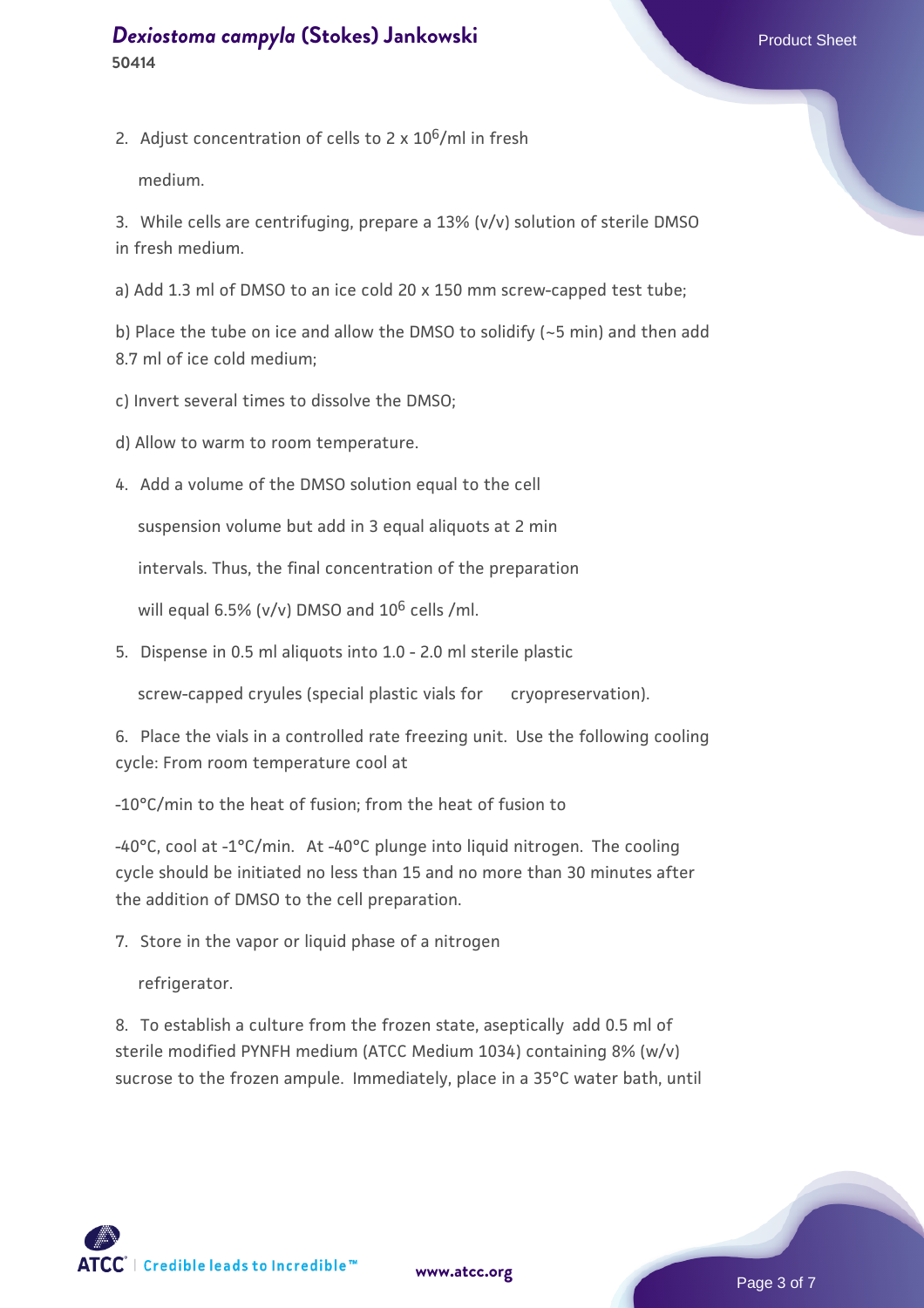2. Adjust concentration of cells to  $2 \times 10^6$ /ml in fresh

medium.

3. While cells are centrifuging, prepare a 13% (v/v) solution of sterile DMSO in fresh medium.

a) Add 1.3 ml of DMSO to an ice cold 20 x 150 mm screw-capped test tube;

b) Place the tube on ice and allow the DMSO to solidify (~5 min) and then add 8.7 ml of ice cold medium;

- c) Invert several times to dissolve the DMSO;
- d) Allow to warm to room temperature.
- 4. Add a volume of the DMSO solution equal to the cell

suspension volume but add in 3 equal aliquots at 2 min

intervals. Thus, the final concentration of the preparation

will equal 6.5% (v/v) DMSO and  $10^6$  cells /ml.

5. Dispense in 0.5 ml aliquots into 1.0 - 2.0 ml sterile plastic

screw-capped cryules (special plastic vials for cryopreservation).

6. Place the vials in a controlled rate freezing unit. Use the following cooling cycle: From room temperature cool at

-10°C/min to the heat of fusion; from the heat of fusion to

-40°C, cool at -1°C/min. At -40°C plunge into liquid nitrogen. The cooling cycle should be initiated no less than 15 and no more than 30 minutes after the addition of DMSO to the cell preparation.

7. Store in the vapor or liquid phase of a nitrogen

refrigerator.

8. To establish a culture from the frozen state, aseptically add 0.5 ml of sterile modified PYNFH medium (ATCC Medium 1034) containing 8% (w/v) sucrose to the frozen ampule. Immediately, place in a 35°C water bath, until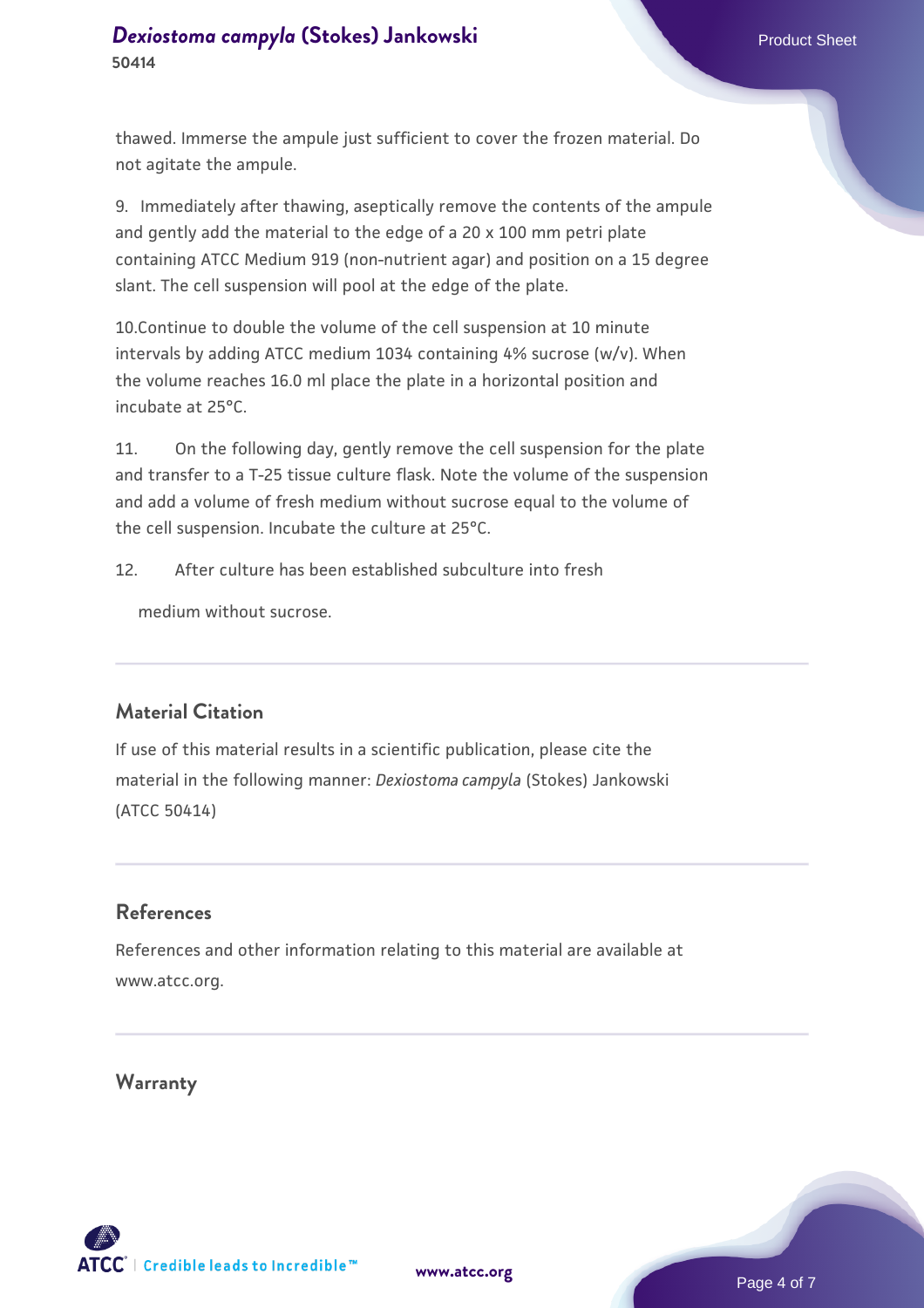thawed. Immerse the ampule just sufficient to cover the frozen material. Do not agitate the ampule.

9. Immediately after thawing, aseptically remove the contents of the ampule and gently add the material to the edge of a 20 x 100 mm petri plate containing ATCC Medium 919 (non-nutrient agar) and position on a 15 degree slant. The cell suspension will pool at the edge of the plate.

10.Continue to double the volume of the cell suspension at 10 minute intervals by adding ATCC medium 1034 containing 4% sucrose (w/v). When the volume reaches 16.0 ml place the plate in a horizontal position and incubate at 25°C.

11. On the following day, gently remove the cell suspension for the plate and transfer to a T-25 tissue culture flask. Note the volume of the suspension and add a volume of fresh medium without sucrose equal to the volume of the cell suspension. Incubate the culture at 25°C.

12. After culture has been established subculture into fresh

medium without sucrose

# **Material Citation**

If use of this material results in a scientific publication, please cite the material in the following manner: *Dexiostoma campyla* (Stokes) Jankowski (ATCC 50414)

#### **References**

References and other information relating to this material are available at www.atcc.org.

**Warranty**

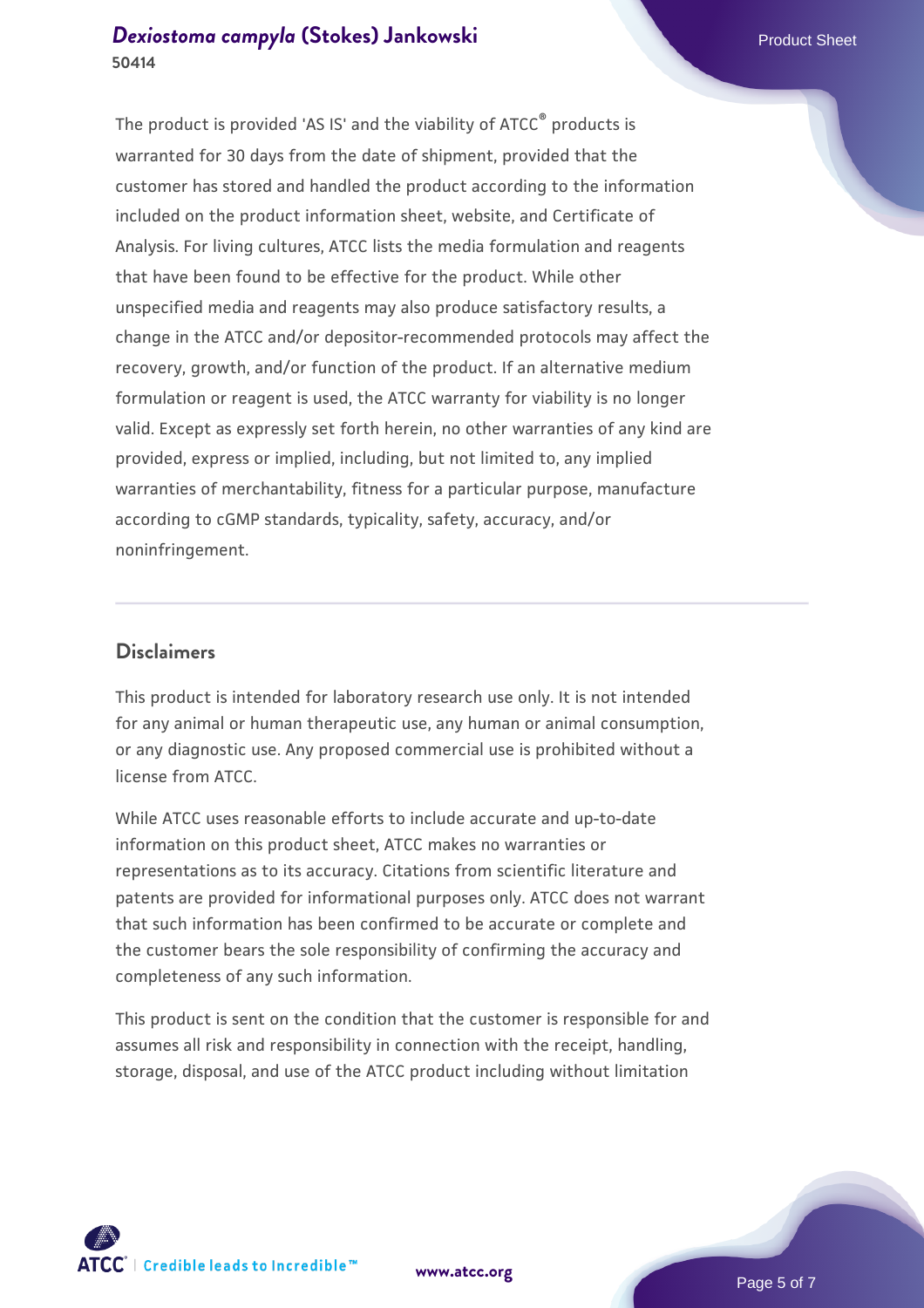The product is provided 'AS IS' and the viability of ATCC® products is warranted for 30 days from the date of shipment, provided that the customer has stored and handled the product according to the information included on the product information sheet, website, and Certificate of Analysis. For living cultures, ATCC lists the media formulation and reagents that have been found to be effective for the product. While other unspecified media and reagents may also produce satisfactory results, a change in the ATCC and/or depositor-recommended protocols may affect the recovery, growth, and/or function of the product. If an alternative medium formulation or reagent is used, the ATCC warranty for viability is no longer valid. Except as expressly set forth herein, no other warranties of any kind are provided, express or implied, including, but not limited to, any implied warranties of merchantability, fitness for a particular purpose, manufacture according to cGMP standards, typicality, safety, accuracy, and/or noninfringement.

#### **Disclaimers**

This product is intended for laboratory research use only. It is not intended for any animal or human therapeutic use, any human or animal consumption, or any diagnostic use. Any proposed commercial use is prohibited without a license from ATCC.

While ATCC uses reasonable efforts to include accurate and up-to-date information on this product sheet, ATCC makes no warranties or representations as to its accuracy. Citations from scientific literature and patents are provided for informational purposes only. ATCC does not warrant that such information has been confirmed to be accurate or complete and the customer bears the sole responsibility of confirming the accuracy and completeness of any such information.

This product is sent on the condition that the customer is responsible for and assumes all risk and responsibility in connection with the receipt, handling, storage, disposal, and use of the ATCC product including without limitation



**[www.atcc.org](http://www.atcc.org)**

Page 5 of 7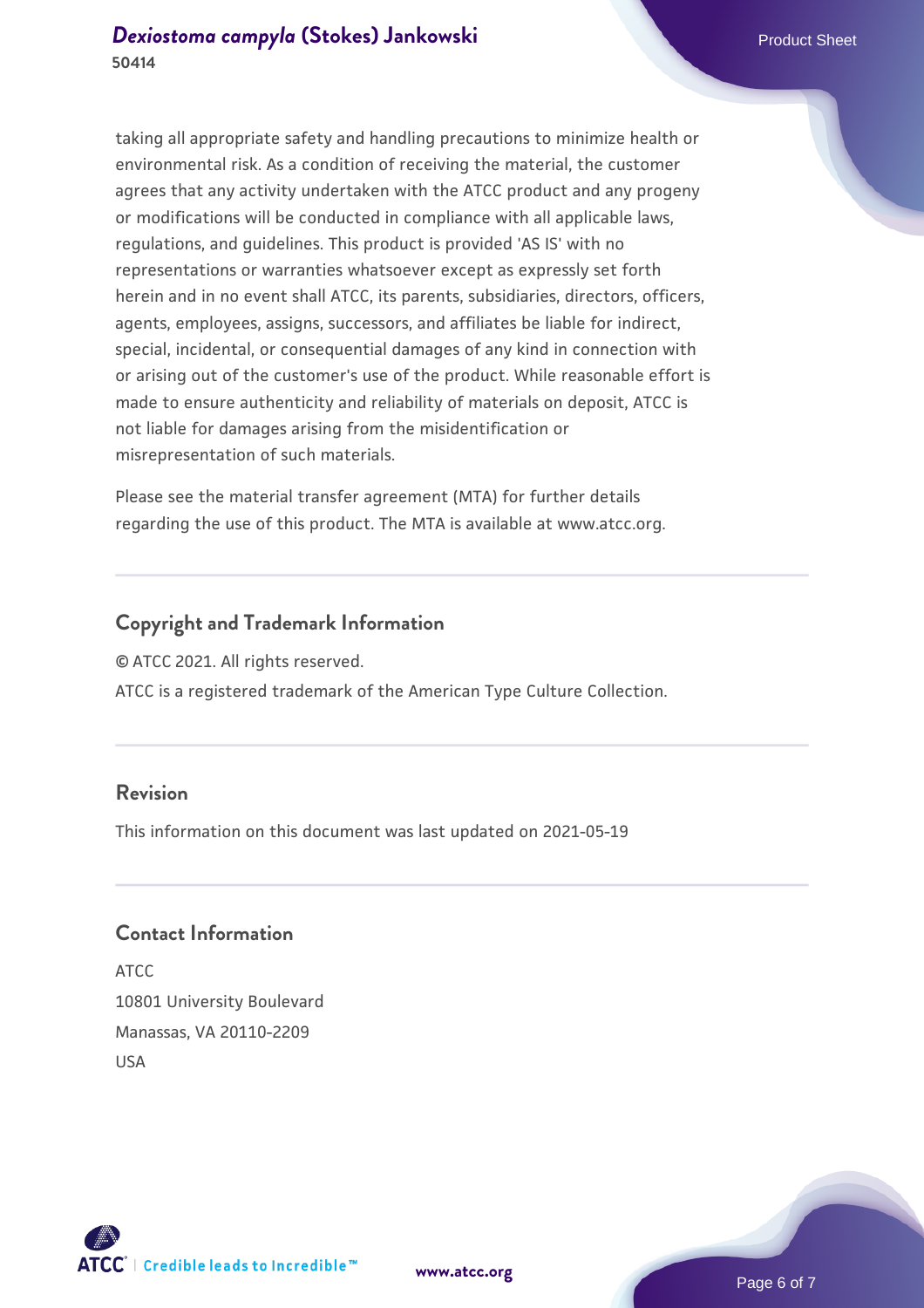# **[Dexiostoma campyla](https://www.atcc.org/products/50414) [\(Stokes\) Jankowski](https://www.atcc.org/products/50414)** Product Sheet **50414**

taking all appropriate safety and handling precautions to minimize health or environmental risk. As a condition of receiving the material, the customer agrees that any activity undertaken with the ATCC product and any progeny or modifications will be conducted in compliance with all applicable laws, regulations, and guidelines. This product is provided 'AS IS' with no representations or warranties whatsoever except as expressly set forth herein and in no event shall ATCC, its parents, subsidiaries, directors, officers, agents, employees, assigns, successors, and affiliates be liable for indirect, special, incidental, or consequential damages of any kind in connection with or arising out of the customer's use of the product. While reasonable effort is made to ensure authenticity and reliability of materials on deposit, ATCC is not liable for damages arising from the misidentification or misrepresentation of such materials.

Please see the material transfer agreement (MTA) for further details regarding the use of this product. The MTA is available at www.atcc.org.

#### **Copyright and Trademark Information**

© ATCC 2021. All rights reserved.

ATCC is a registered trademark of the American Type Culture Collection.

#### **Revision**

This information on this document was last updated on 2021-05-19

#### **Contact Information**

ATCC 10801 University Boulevard Manassas, VA 20110-2209 USA